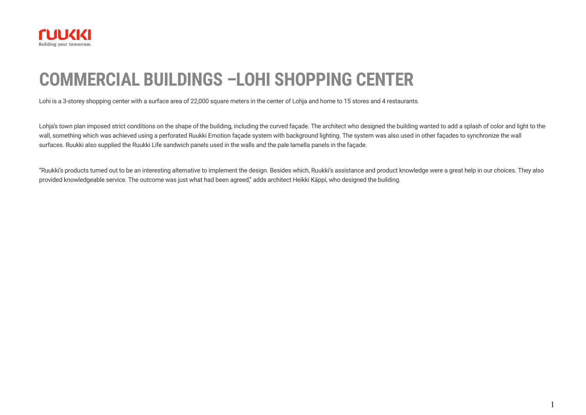

# **COMMERCIAL BUILDINGS –LOHI SHOPPING CENTER**

Lohi is a 3-storey shopping center with a surface area of 22,000 square meters in the center of Lohja and home to 15 stores and 4 restaurants.

Lohja's town plan imposed strict conditions on the shape of the building, including the curved façade. The architect who designed the building wanted to add a splash of color and light to the wall, something which was achieved using a perforated Ruukki Emotion façade system with background lighting. The system was also used in other façades to synchronize the wall surfaces. Ruukki also supplied the Ruukki Life sandwich panels used in the walls and the pale lamella panels in the façade.

"Ruukki's products turned out to be an interesting alternative to implement the design. Besides which, Ruukki's assistance and product knowledge were a great help in our choices. They also provided knowledgeable service. The outcome was just what had been agreed," adds architect Heikki Käppi, who designed the building.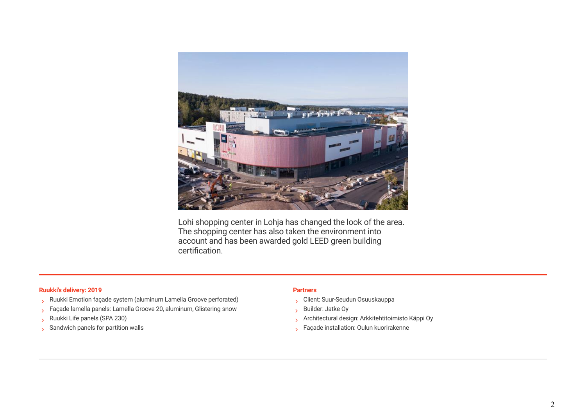

Lohi shopping center in Lohja has changed the look of the area. The shopping center has also taken the environment into account and has been awarded gold LEED green building certification.

#### **Ruukki's delivery: 2019 Partners**

- Ruukki Emotion façade system (aluminum Lamella Groove perforated)
- > Façade lamella panels: Lamella Groove 20, aluminum, Glistering snow
- Ruukki Life panels (SPA 230)
- $\frac{1}{2}$  Sandwich panels for partition walls

- Client: Suur-Seudun Osuuskauppa
- Builder: Jatke Oy
- Architectural design: Arkkitehtitoimisto Käppi Oy
- Façade installation: Oulun kuorirakenne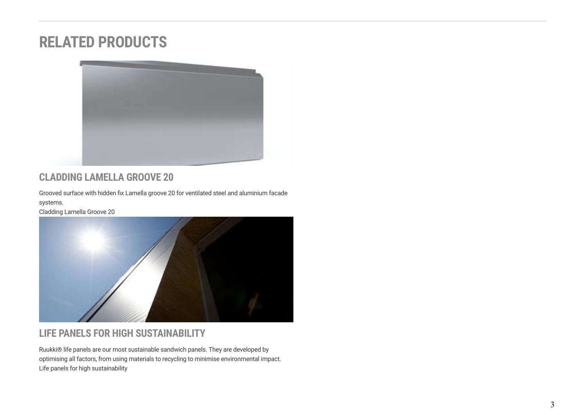## **RELATED PRODUCTS**



## **CLADDING LAMELLA GROOVE 20**

Grooved surface with hidden fix Lamella groove 20 for ventilated steel and aluminium facade systems.

[Cladding Lamella Groove 20](https://www.ruukki.com/b2b/products/facade-claddings/cladding-lamellas/facade-claddings-details---cladding-lamella/cladding-lamella-groove-20)



## **LIFE PANELS FOR HIGH SUSTAINABILITY**

Ruukki® life panels are our most sustainable sandwich panels. They are developed by optimising all factors, from using materials to recycling to minimise environmental impact. [Life panels for high sustainability](https://www.ruukki.com/b2b/products/sandwich-panels/life-sandwich-panels)